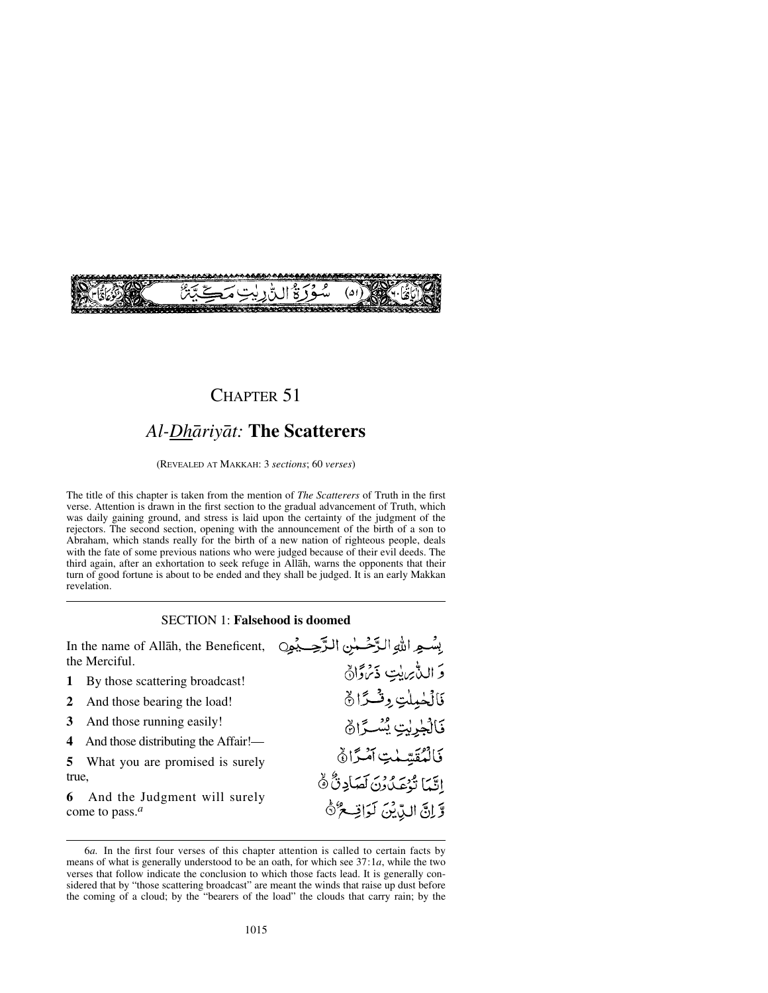

# CHAPTER 51

# *Al-Dhåriyåt:* **The Scatterers**

(REVEALED AT MAKKAH: 3 *sections*; 60 *verses*)

The title of this chapter is taken from the mention of *The Scatterers* of Truth in the first verse. Attention is drawn in the first section to the gradual advancement of Truth, which was daily gaining ground, and stress is laid upon the certainty of the judgment of the rejectors. The second section, opening with the announcement of the birth of a son to Abraham, which stands really for the birth of a new nation of righteous people, deals with the fate of some previous nations who were judged because of their evil deeds. The third again, after an exhortation to seek refuge in Allåh, warns the opponents that their turn of good fortune is about to be ended and they shall be judged. It is an early Makkan revelation.

#### SECTION 1: **Falsehood is doomed**

بِسْعِ اللهِ الزَّحْسٰنِ الزَّحِسِيْمِيِنِ

وَ اللَّامِ بِيتِ ذَيْرَوَانُ

فَالْحٰمِلْتِ وِفْسَرًا ﴾

فَالْجُرِيْتِ يُسْكِرَانَ

فَالْمُقَيِّمْتِ آمْرًا  $\delta$ 

اِتَّمَا تُوْعَدُونَ لَصَادِنٌ هُ

وَّانَّ الدِّيْنَ لَوَاتِ حُرُّهُ

In the name of Allåh, the Beneficent, the Merciful.

- **1** By those scattering broadcast!
- **2** And those bearing the load!
- **3** And those running easily!
- **4** And those distributing the Affair!—
- **5** What you are promised is surely true,
- **6** And the Judgment will surely come to pass.*<sup>a</sup>*

<sup>6</sup>*a.* In the first four verses of this chapter attention is called to certain facts by means of what is generally understood to be an oath, for which see 37:1*a*, while the two verses that follow indicate the conclusion to which those facts lead. It is generally considered that by "those scattering broadcast" are meant the winds that raise up dust before the coming of a cloud; by the "bearers of the load" the clouds that carry rain; by the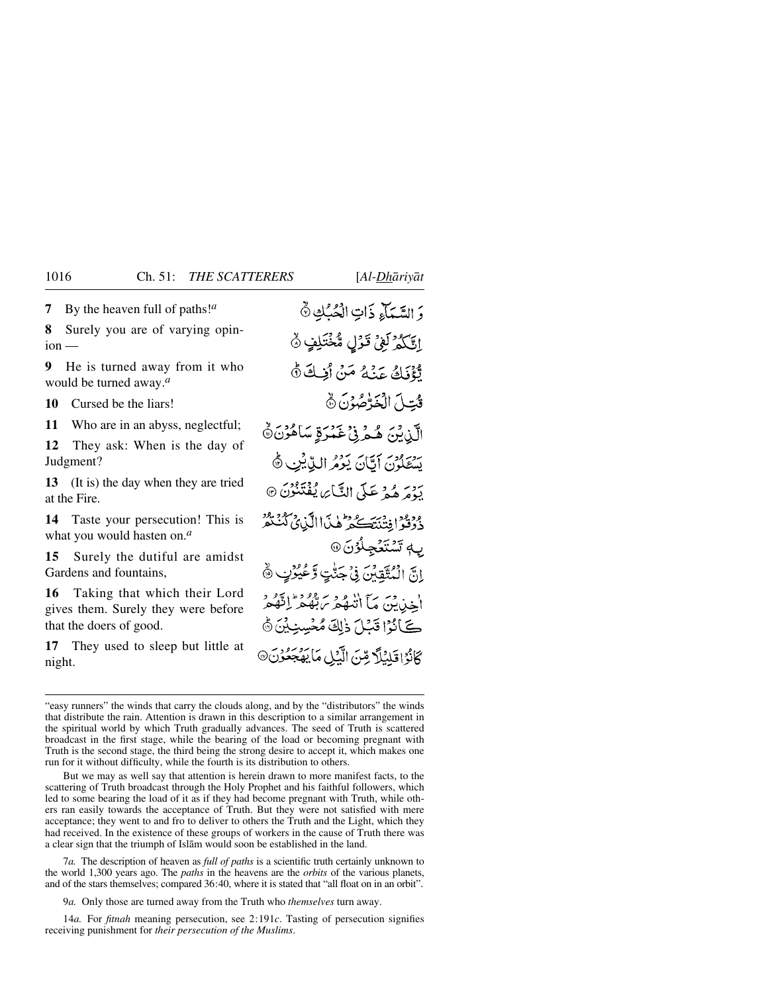**7** By the heaven full of paths!*<sup>a</sup>*

**8** Surely you are of varying opin $ion$  —

**9** He is turned away from it who would be turned away.*<sup>a</sup>*

**10** Cursed be the liars!

**11** Who are in an abyss, neglectful;

**12** They ask: When is the day of Judgment?

**13** (It is) the day when they are tried at the Fire.

**14** Taste your persecution! This is what you would hasten on.*<sup>a</sup>*

**15** Surely the dutiful are amidst Gardens and fountains,

**16** Taking that which their Lord gives them. Surely they were before that the doers of good.

**17** They used to sleep but little at night.

وَ السَّيِّبَاءِ ذَاتِ الْحُبُّكِ ۞ اَتَّكُمُّ لَعْيُ قَوْلِ مُّخْتَلِفٍ ۞ تَّؤْذَكَ عَنْهُ مَنْ أَفِكَ لَّهُ قُتِلَ الْخَذْصُوْنَ نَ الَّذِينَ هُمْرِنِي عَمْرَةٍ سَاهُوْنَ۞ بِهِ يَوْمَ أَيَّانَ يَوْمُ الِيَّابِنِي ﴾ رَدْمَ هُجْ عَلَى النَّبَا*َيْ* يُفْتَنُوْنَ @ وَدُوْدَ افِتْنَتَكُمْ هٰذَا الَّذِي كُنْتُمْ ب<sub>اً</sub> تَسْتَغْجِلُوْنَ @ انَّ الْمُتَّقِبِينَ فِي جَنُّتِ وَعُيُرُبِ ۞ أخذين مَا أَتَنْهُمْ بِرَبِّرٍ وَمَزَاقِهُمْ كَانُوْا قَبْلَ ذٰلِكَ مُخْسِبِيْنَ ۞ كَانُوْاقَلِبُلَّا مِّنَ الَّذِلِ مَا يَهْجَعُوْنَ۞

But we may as well say that attention is herein drawn to more manifest facts, to the scattering of Truth broadcast through the Holy Prophet and his faithful followers, which led to some bearing the load of it as if they had become pregnant with Truth, while others ran easily towards the acceptance of Truth. But they were not satisfied with mere acceptance; they went to and fro to deliver to others the Truth and the Light, which they had received. In the existence of these groups of workers in the cause of Truth there was a clear sign that the triumph of Islåm would soon be established in the land.

7*a.* The description of heaven as *full of paths* is a scientific truth certainly unknown to the world 1,300 years ago. The *paths* in the heavens are the *orbits* of the various planets, and of the stars themselves; compared 36:40, where it is stated that "all float on in an orbit".

9*a.* Only those are turned away from the Truth who *themselves* turn away.

14*a.* For *fitnah* meaning persecution, see 2:191*c*. Tasting of persecution signifies receiving punishment for *their persecution of the Muslims*.

<sup>&</sup>quot;easy runners" the winds that carry the clouds along, and by the "distributors" the winds that distribute the rain. Attention is drawn in this description to a similar arrangement in the spiritual world by which Truth gradually advances. The seed of Truth is scattered broadcast in the first stage, while the bearing of the load or becoming pregnant with Truth is the second stage, the third being the strong desire to accept it, which makes one run for it without difficulty, while the fourth is its distribution to others.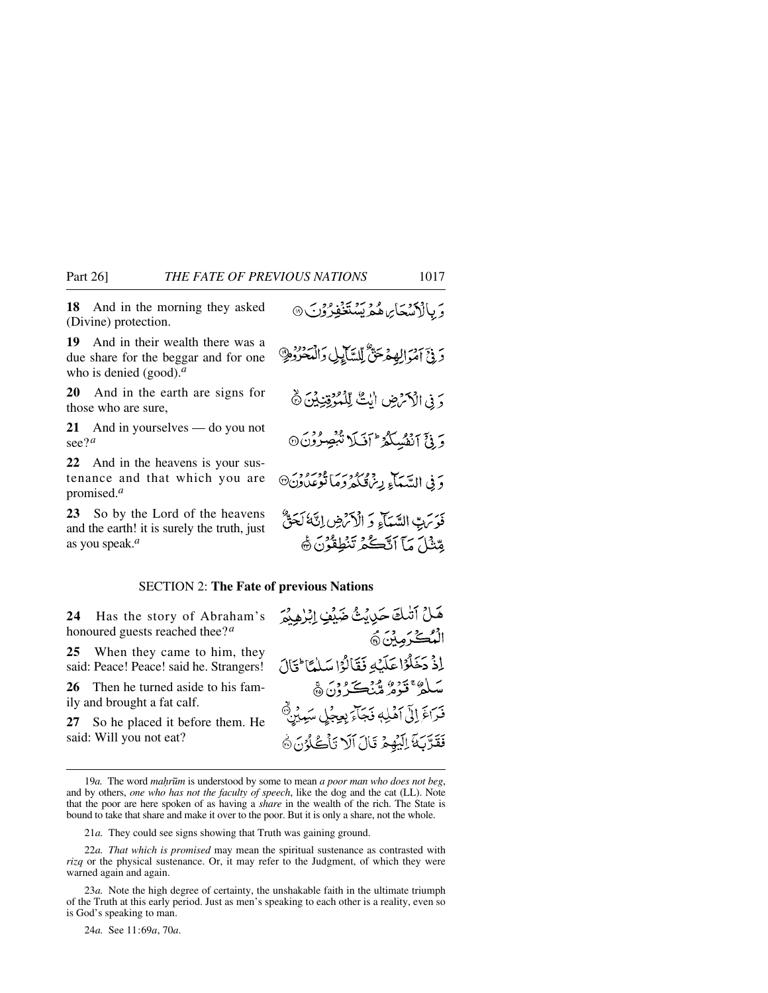**18** And in the morning they asked (Divine) protection.

**19** And in their wealth there was a due share for the beggar and for one who is denied (good).*<sup>a</sup>*

**20** And in the earth are signs for those who are sure,

**21** And in yourselves — do you not see?*<sup>a</sup>*

**22** And in the heavens is your sustenance and that which you are promised.*<sup>a</sup>*

**23** So by the Lord of the heavens and the earth! it is surely the truth, just as you speak.*<sup>a</sup>*

و د سوي د و د په

#### SECTION 2: **The Fate of previous Nations**

**24** Has the story of Abraham's honoured guests reached thee?*<sup>a</sup>*

**25** When they came to him, they said: Peace! Peace! said he. Strangers!

**26** Then he turned aside to his family and brought a fat calf.

**27** So he placed it before them. He said: Will you not eat?

21*a.* They could see signs showing that Truth was gaining ground.

22*a. That which is promised* may mean the spiritual sustenance as contrasted with *rizq* or the physical sustenance. Or, it may refer to the Judgment, of which they were warned again and again.

23*a.* Note the high degree of certainty, the unshakable faith in the ultimate triumph of the Truth at this early period. Just as men's speaking to each other is a reality, even so is God's speaking to man.

24*a.* See 11:69*a*, 70*a*.

 $1 - 3 < 31$ 

هَلْ آتْبِكَ حَدِيثٌ ضَبْهِي إِبْرِٰهِيْمَ الْمُكْرَمِيْنَ، اذْ دَخَلْوْا عَلَيْهِ فَقَالُوْا سَلْمًا ِ قَالَ سلگا قوم مين ڪرين ۾ فَرَاغَ إِلَىٰ آهَٰلِهٖ فَجَآءَ بِعِجْلٍ سَعِبُنٍ فَقَرَّبَهَ الِيُهِمُ قَالَ الَا تَأْكُلُونَ ﴾

<sup>19</sup>*a*. The word *mahrūm* is understood by some to mean *a poor man who does not beg*, and by others, *one who has not the faculty of speech*, like the dog and the cat (LL). Note that the poor are here spoken of as having a *share* in the wealth of the rich. The State is bound to take that share and make it over to the poor. But it is only a share, not the whole.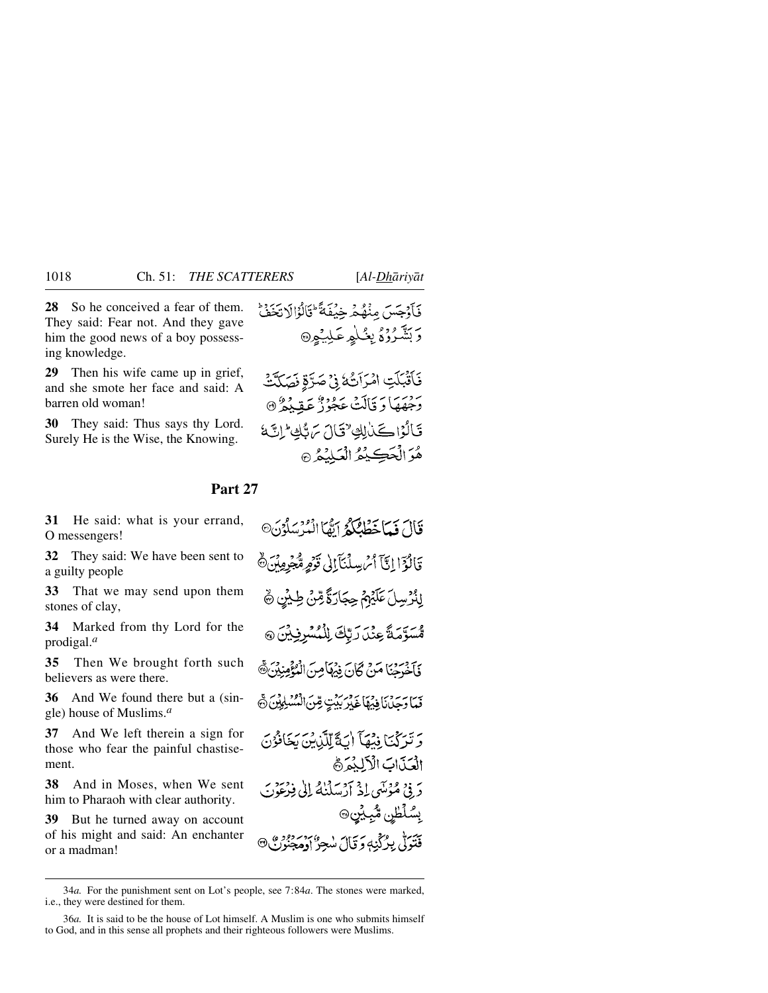**28** So he conceived a fear of them. They said: Fear not. And they gave him the good news of a boy possessing knowledge.

**29** Then his wife came up in grief, and she smote her face and said: A barren old woman!

**30** They said: Thus says thy Lord. Surely He is the Wise, the Knowing.

فَأَقْبَلَتِ امْرَأَتُهُ فِي صَرَّةِ فَصَلَّتْ رَّحِمْهَا دَ قَالَتْ عَجُوْزٌ عَقِيدٌ ۞ قَالُوْاكَيْنْ لِكِ تَوَاسَ سَرَتَكَ إِنَّ هُوَ الْحَبَ يُمْ الْعَلِيْهُ ۞

**Part 27**

**31** He said: what is your errand, O messengers!

**32** They said: We have been sent to a guilty people

**33** That we may send upon them stones of clay,

**34** Marked from thy Lord for the prodigal.*<sup>a</sup>*

**35** Then We brought forth such believers as were there.

**36** And We found there but a (single) house of Muslims.*<sup>a</sup>*

**37** And We left therein a sign for those who fear the painful chastisement.

**38** And in Moses, when We sent him to Pharaoh with clear authority.

**39** But he turned away on account of his might and said: An enchanter or a madman!

قَالَ فَيَاخَطْفِكُمْ آمِّهَا انْتَرْسَلُوْنَ® قَالَوْٓا إِيَّآَ أَسْ بِسِلْنَآَ إِنِي قَوْمِرِةٌ جُبِرِمِينَ ۞ لِنُرُسِلَ عَلَيْهِمُ حِجَارَةً مِّنْ طِيْنٍ ﴾ مَسَوَّمَةً عِنْدَ رَبِّكَ لِلْمُسْرِفِينَ @ فَأَخْرَجْنَا مَنْ كَانَ نِيْهَا مِنَ الْمُؤْمِنِيْنَ۞ نِمَا رَحِينَ نَا فِيَهَا غَيْرَ بَيْتٍ مِّنَ الْمُسْلِمِيْنَ ۞ يَ تَرَكْبَا فِيهَآ إِنَّهَ لِلَّذِينَ يَخَافُوْنَ الْعَذَابَ الْأَلِيْمَرَةَ دَ فِي مُؤْمَنِي إِذْ أَدْسَلْنَاهُ إِلَىٰ فِيرْعَوْنِ ِيسُلۡظِن مُّبِيِّنِ۞ قَتَولُّی بِرُکْنِهٖ وَ تَالَ مُبْحِرٌ اوْمِجْنُونَ ۞

<sup>34</sup>*a.* For the punishment sent on Lot's people, see 7:84*a*. The stones were marked, i.e., they were destined for them.

<sup>36</sup>*a.* It is said to be the house of Lot himself. A Muslim is one who submits himself to God, and in this sense all prophets and their righteous followers were Muslims.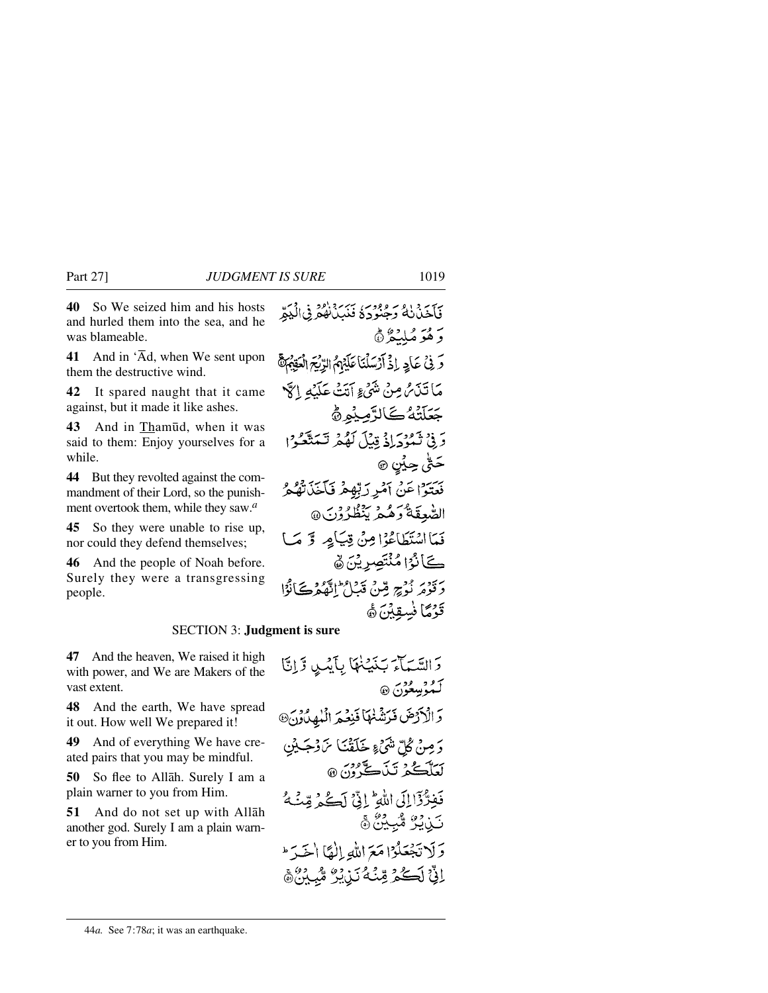**40** So We seized him and his hosts and hurled them into the sea, and he was blameable.

**41** And in 'Åd, when We sent upon them the destructive wind.

**42** It spared naught that it came against, but it made it like ashes.

**43** And in Tham∂d, when it was said to them: Enjoy yourselves for a while.

**44** But they revolted against the commandment of their Lord, so the punishment overtook them, while they saw.*<sup>a</sup>*

**45** So they were unable to rise up, nor could they defend themselves;

**46** And the people of Noah before. Surely they were a transgressing people.

### SECTION 3: **Judgment is sure**

**47** And the heaven, We raised it high with power, and We are Makers of the vast extent.

**48** And the earth, We have spread it out. How well We prepared it!

**49** And of everything We have created pairs that you may be mindful.

**50** So flee to Allåh. Surely I am a plain warner to you from Him.

**51** And do not set up with Allåh another god. Surely I am a plain warner to you from Him.

دَ السَّيَمَاءَ بَنَيْنَهَا بِأَيْنِ وَإِنَّا لَـهُوۡسِعُوۡنَ ۞ وَالْأَرْضَ فَرَشْنَهَا فَيَعْمَ الْهُهِدُونَ® دَ مِنْ ݣُلّْ شَيْءٍ خَلَقْنَا مْنَ وْجَـٰيْنِ لَعَلَّڪُمُ تَيْنَڪَ ُونَ ۞ فَفِرَّ ذَا إِلَى اللَّهِ إِنِّي لَكُمْ قِنْهُ تَزِيْرُ مُّبِيْنٌ ﴾ وَلَا تَجْعَلُوْا مَعَ اللَّهِ إِلٰهًا الْحَدَّ اِنَّىٰٓ لَڪُمْ مِّنۡهُ نَنۡ يُرُّ مُّبِيْنَ ﴾

#### 44*a.* See 7:78*a*; it was an earthquake.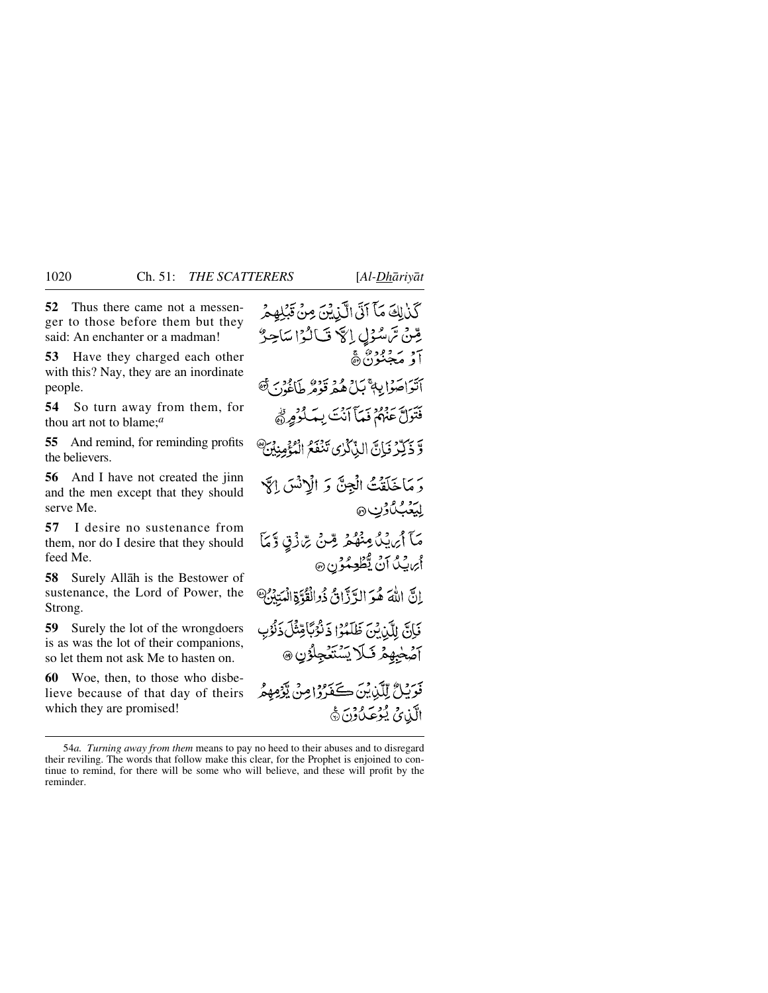**52** Thus there came not a messenger to those before them but they said: An enchanter or a madman!

**53** Have they charged each other with this? Nay, they are an inordinate people.

**54** So turn away from them, for thou art not to blame;*<sup>a</sup>*

**55** And remind, for reminding profits the believers.

**56** And I have not created the jinn and the men except that they should serve Me.

**57** I desire no sustenance from them, nor do I desire that they should feed Me.

**58** Surely Allåh is the Bestower of sustenance, the Lord of Power, the Strong.

**59** Surely the lot of the wrongdoers is as was the lot of their companions, so let them not ask Me to hasten on.

**60** Woe, then, to those who disbelieve because of that day of theirs which they are promised!

كَذَٰلِكَ مَآ آتَى الَّذِيْنَ مِنْ قَيْلِهِ مِرْ مِّينْ تَرَسْدُلِي إِلَهَ فَبَالُهُ! سَاحِبُّ 7ق مَ قِرْدِ مِنَ ڇِ أَتَوَاصَوۡالِهَ مَمَلٌ هُمۡ قَوۡوُرٌ طَاَغُوۡنَ ﴾ فَتَوَلَّ عَنْهُمْ فَمَآ آنَتَ بِمَكْرُوْرِ نَهْ وَّ ذَكِّرْ فَإِنَّ الذَّكْرُى تَنْفَعُ الْمُؤْمِنِينَ ۗ دَ مَاخَلَقْتُ الْجِنَّ وَ الْاِنْسَ اِكَّا لِيَغْبُلُ\$نِ @ مَآ أَيْرَيْدُ مِنْهُمۡ مِّنۡ مِّنۡ تِرَادَٰتِ وَّمَآ اُپراییگ اَنْ یُّطُعِیکُوْن ۞ إِنَّ اللَّهَ هُوَ الدَّدَّانُ ذُوالْقُوَّةِ الْمَتِيْنُ؟ فَإِنَّ لِلَّيْاشَ ظَلَمُوْا ذَنْوُبًاقِتْلَ ذَنْوُ آصَٰجْبِهِمۡ فَىَلَا يَسۡتَعۡجِلُوۡنِ ۞ بَرْدِينٌ لِلَّذِينَ كَفَرُوا مِنْ يَّوْمِهِمْ الَّذِي يُؤْعَلُوْنَ۞

<sup>54</sup>*a. Turning away from them* means to pay no heed to their abuses and to disregard their reviling. The words that follow make this clear, for the Prophet is enjoined to continue to remind, for there will be some who will believe, and these will profit by the reminder.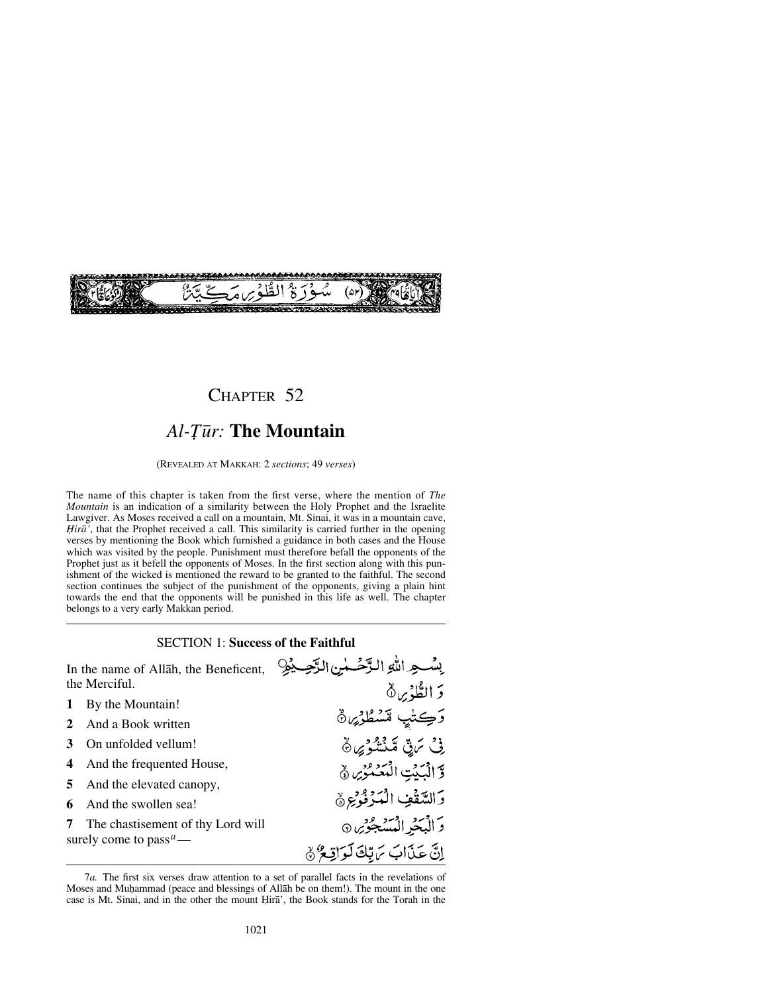

## CHAPTER 52

# *Al-Tūr:* The Mountain

(REVEALED AT MAKKAH: 2 *sections*; 49 *verses*)

The name of this chapter is taken from the first verse, where the mention of *The Mountain* is an indication of a similarity between the Holy Prophet and the Israelite Lawgiver. As Moses received a call on a mountain, Mt. Sinai, it was in a mountain cave, *Hirā'*, that the Prophet received a call. This similarity is carried further in the opening verses by mentioning the Book which furnished a guidance in both cases and the House which was visited by the people. Punishment must therefore befall the opponents of the Prophet just as it befell the opponents of Moses. In the first section along with this punishment of the wicked is mentioned the reward to be granted to the faithful. The second section continues the subject of the punishment of the opponents, giving a plain hint towards the end that the opponents will be punished in this life as well. The chapter belongs to a very early Makkan period.

### SECTION 1: **Success of the Faithful**

وَكِتْبٍ مَشْطُوْيِهِ

فِ مَاقِّ مَشْنُوْيِ ﴾

وَّ الْبَيْتِ الْمُعَمْوَىِ ﴾

وَالسَّقْفِ الْمَدْفُوْجِرَةِ

وَ الْبَحْرِ الْمُسَجْو*ِيْن*ِ ۞

إِنَّ عَذَابَ يَهِ تِلْقَالَةِ آوَاقِعٌ ﴾

In the name of Allåh, the Beneficent, the Merciful. وَالطَّوْيِنِ ٥

- **1** By the Mountain!
- **2** And a Book written
- **3** On unfolded vellum!
- **4** And the frequented House,
- **5** And the elevated canopy,
- **6** And the swollen sea!
- **7** The chastisement of thy Lord will surely come to pass*a*—

<sup>7</sup>*a.* The first six verses draw attention to a set of parallel facts in the revelations of Moses and Muhammad (peace and blessings of Allah be on them!). The mount in the one case is Mt. Sinai, and in the other the mount Hira', the Book stands for the Torah in the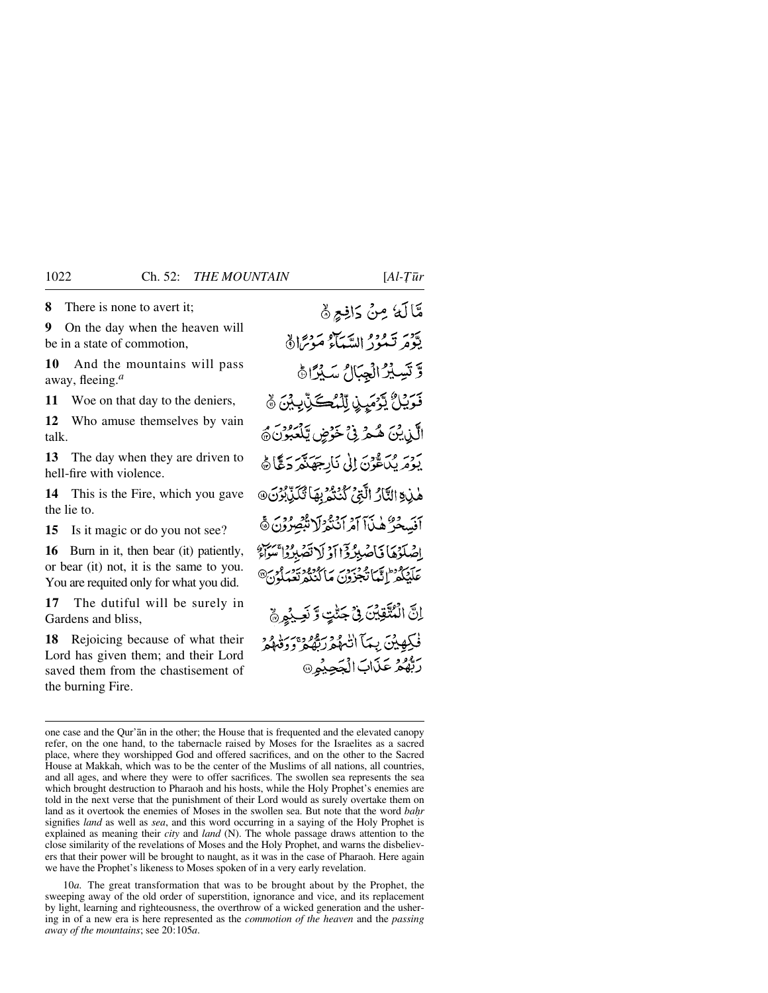**8** There is none to avert it;

**9** On the day when the heaven will be in a state of commotion,

**10** And the mountains will pass away, fleeing.*<sup>a</sup>*

**11** Woe on that day to the deniers,

**12** Who amuse themselves by vain talk.

**13** The day when they are driven to hell-fire with violence.

**14** This is the Fire, which you gave the lie to.

**15** Is it magic or do you not see?

**16** Burn in it, then bear (it) patiently, or bear (it) not, it is the same to you. You are requited only for what you did.

**17** The dutiful will be surely in Gardens and bliss,

**18** Rejoicing because of what their Lord has given them; and their Lord saved them from the chastisement of the burning Fire.

مَّالَهُ مِنْ دَافِعٍ ۞ يَوْمَرِ تَمُورُ السَّبَآءُ مَوْتِرًا ﴾ وَتَسِيرُ الْجِبَالُ سَيُرًاهُ قَوَيْلُ يَوْمَيِنِ لِلْمُكَنِّ بِيْنَ ﴾ الَّذِينَ هُجْرَ فِيْ خَوْضٍ يَلْعَبُونَ ﴾ يَوْمَرِيْكَاعُوْنَ إِلَى نَارِجَهَنَّمَرَدَعَّا هَ هْذِةِ الثَّارُ الَّتِيُّ كَنُنْمُرِيهَا تُكَزِّبُونَ® بَرِ دَرَهُ لَى آمَرَ النَّعْرُ لَا يُبْصِرُونَ ﴾ اصْلَوْهَا فَأَصْبِرُوْٓا أَوْلَاتَصَبِرُوْا مِنْ إِ عَلَّكِكُمْ إِنَّهَا تَجْزُونَ مَا كُنْتُهُ تَعْبَدُونَ<br>عَلَيْكُمْ إِنَّهَا تَجْزُونَ مَا كُنْتُهُ تَعْبَدُونَ اِنَّ الْمُتَّقِينَ فِي جَنْبٍ وَّ نَعِيْهِ ﴾ فْكِهِيْنَ بِيَمَآ الشُّهُمْ رَبُّهُمْ وَوَقَعِهُمْ رَبُّهُمْ عَذَابَ الْجَحِيْمِ

10*a.* The great transformation that was to be brought about by the Prophet, the sweeping away of the old order of superstition, ignorance and vice, and its replacement by light, learning and righteousness, the overthrow of a wicked generation and the ushering in of a new era is here represented as the *commotion of the heaven* and the *passing away of the mountains*; see 20:105*a*.

one case and the Qur'ån in the other; the House that is frequented and the elevated canopy refer, on the one hand, to the tabernacle raised by Moses for the Israelites as a sacred place, where they worshipped God and offered sacrifices, and on the other to the Sacred House at Makkah, which was to be the center of the Muslims of all nations, all countries, and all ages, and where they were to offer sacrifices. The swollen sea represents the sea which brought destruction to Pharaoh and his hosts, while the Holy Prophet's enemies are told in the next verse that the punishment of their Lord would as surely overtake them on land as it overtook the enemies of Moses in the swollen sea. But note that the word *bahr* signifies *land* as well as *sea*, and this word occurring in a saying of the Holy Prophet is explained as meaning their *city* and *land* (N). The whole passage draws attention to the close similarity of the revelations of Moses and the Holy Prophet, and warns the disbelievers that their power will be brought to naught, as it was in the case of Pharaoh. Here again we have the Prophet's likeness to Moses spoken of in a very early revelation.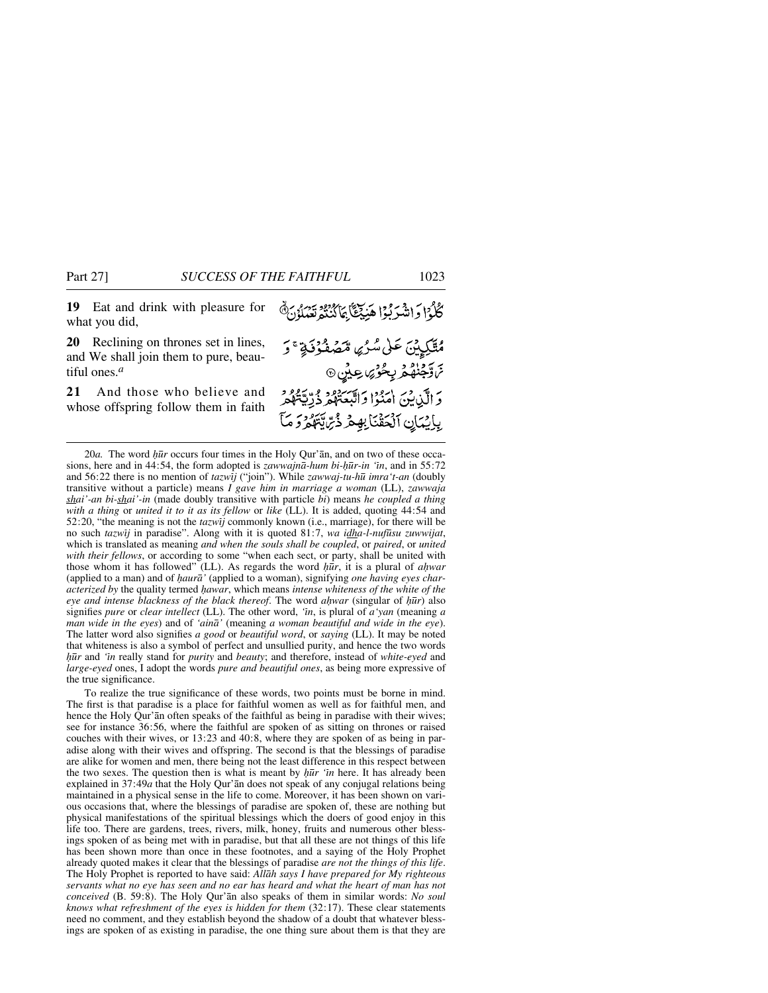**19** Eat and drink with pleasure for what you did,

**20** Reclining on thrones set in lines, and We shall join them to pure, beautiful ones.*<sup>a</sup>*

**21** And those who believe and whose offspring follow them in faith

20*a.* The word *ör* occurs four times in the Holy Qur'ån, and on two of these occasions, here and in 44:54, the form adopted is *zawwajnå-hum bi-√∂r-in 'ßn*, and in 55:72 and 56:22 there is no mention of *tazwßj* ("join"). While *zawwaj-tu-h∂ imra't-an* (doubly transitive without a particle) means *I gave him in marriage a woman* (LL), *zawwaja shai'-an bi-shai'-in* (made doubly transitive with particle *bi*) means *he coupled a thing with a thing* or *united it to it as its fellow* or *like* (LL). It is added, quoting 44:54 and 52:20, "the meaning is not the *tazwßj* commonly known (i.e., marriage), for there will be no such *tazwīj* in paradise". Along with it is quoted 81:7, *wa idha-l-nufūsu zuwwijat*, which is translated as meaning *and when the souls shall be coupled*, or *paired*, or *united with their fellows*, or according to some "when each sect, or party, shall be united with those whom it has followed" (LL). As regards the word  $h\bar{u}r$ , it is a plural of *ahwar* (applied to a man) and of *√aurå'* (applied to a woman), signifying *one having eyes characterized by* the quality termed *√awar*, which means *intense whiteness of the white of the eye and intense blackness of the black thereof.* The word *ahwar* (singular of *hūr*) also signifies *pure* or *clear intellect* (LL). The other word, *'ßn*, is plural of *a'yan* (meaning *a man wide in the eyes*) and of *'ainå'* (meaning *a woman beautiful and wide in the eye*). The latter word also signifies *a good* or *beautiful word*, or *saying* (LL). It may be noted that whiteness is also a symbol of perfect and unsullied purity, and hence the two words *ör* and *'ßn* really stand for *purity* and *beauty*; and therefore, instead of *white-eyed* and *large-eyed* ones, I adopt the words *pure and beautiful ones*, as being more expressive of the true significance.

To realize the true significance of these words, two points must be borne in mind. The first is that paradise is a place for faithful women as well as for faithful men, and hence the Holy Qur'ån often speaks of the faithful as being in paradise with their wives; see for instance 36:56, where the faithful are spoken of as sitting on thrones or raised couches with their wives, or 13:23 and 40:8, where they are spoken of as being in paradise along with their wives and offspring. The second is that the blessings of paradise are alike for women and men, there being not the least difference in this respect between the two sexes. The question then is what is meant by  $h\bar{u}r$  'in here. It has already been explained in 37:49*a* that the Holy Qur'ån does not speak of any conjugal relations being maintained in a physical sense in the life to come. Moreover, it has been shown on various occasions that, where the blessings of paradise are spoken of, these are nothing but physical manifestations of the spiritual blessings which the doers of good enjoy in this life too. There are gardens, trees, rivers, milk, honey, fruits and numerous other blessings spoken of as being met with in paradise, but that all these are not things of this life has been shown more than once in these footnotes, and a saying of the Holy Prophet already quoted makes it clear that the blessings of paradise *are not the things of this life*. The Holy Prophet is reported to have said: *Allåh says I have prepared for My righteous servants what no eye has seen and no ear has heard and what the heart of man has not conceived* (B. 59:8). The Holy Qur'ån also speaks of them in similar words: *No soul knows what refreshment of the eyes is hidden for them* (32:17). These clear statements need no comment, and they establish beyond the shadow of a doubt that whatever blessings are spoken of as existing in paradise, the one thing sure about them is that they are

كُلُوْا وَاشْرَبُوْا هَنِيْغَا بِمَاكْنُنْتُمْ تَعْبَلُوْنَ ﴾ مُتَّكِيِينَ عَلَى سُرُىِ مَّصْفُوُفَةٍ ۚ وَ مَ وَجَنُهُمْ بِحُوْصٍ عِيْنٍ وَ الَّذِينَ أَمَنُوْا وَاتَّبَعَتْهُمْ ذُرِّيَّةٌ مُوَّرِّ بِإِيْمَانِ ٱلْحَقْنَابِهِمْ ذُرِّايَّتَهُمْ وَ مَآ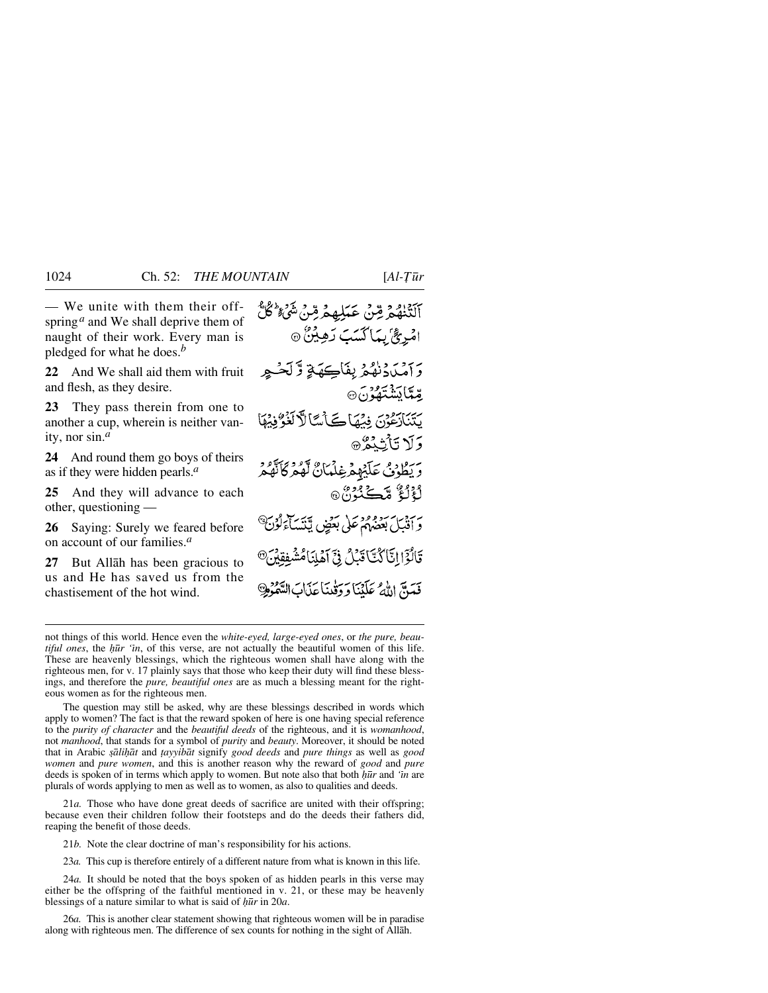— We unite with them their off-ٱلۡتَّنۡلَٰهُمۡ مِّنۡ عَبَٰلِهِمۡ مِّنۡ تَنۡلُمۡ كُلُّ spring<sup>*a*</sup> and We shall deprive them of naught of their work. Every man is pledged for what he does.*<sup>b</sup>* **22** And We shall aid them with fruit and flesh, as they desire. **23** They pass therein from one to another a cup, wherein is neither vanity, nor sin.*<sup>a</sup>* **24** And round them go boys of theirs as if they were hidden pearls.*<sup>a</sup>* **25** And they will advance to each other, questioning —

**26** Saying: Surely we feared before on account of our families.*<sup>a</sup>*

**27** But Allåh has been gracious to us and He has saved us from the chastisement of the hot wind.

امْرِئٌ بِمَاكْسَبَ دَهِيْنٌ ۞ وَأَمِيَادَنِهُمْ بِفَاكِيَةٍ وَّلَحْبِهِ مَدَّمَّا دَيْنَتَّفَدُنَ® يَتَنَازِعُوْنَ فِيْهَاكَ أَسَّالاً كَغُوُّفِيْهَا وَلَا تَأْثِدُهُ ۞ د يَطُوْدُ عَلَيْهِمْ غِلْمَانٌ لَهُمْ كَأَنَّهُمْ لْأَلْئٌ مَّكَـٰذُرْ ْ۞ وسيست ومع على بعض يتنسآءَ قَالُوْٓا!تَّاكُتَّاقَبۡلُ فِیۡٓ آَهۡلِنَامُ فَعَتَ اللَّهُ عَلَنْنَا دَدَقْيَنَاعَدَاتَ

not things of this world. Hence even the *white-eyed, large-eyed ones*, or *the pure, beautiful ones*, the *hūr 'in*, of this verse, are not actually the beautiful women of this life. These are heavenly blessings, which the righteous women shall have along with the righteous men, for v. 17 plainly says that those who keep their duty will find these blessings, and therefore the *pure, beautiful ones* are as much a blessing meant for the righteous women as for the righteous men.

The question may still be asked, why are these blessings described in words which apply to women? The fact is that the reward spoken of here is one having special reference to the *purity of character* and the *beautiful deeds* of the righteous, and it is *womanhood*, not *manhood*, that stands for a symbol of *purity* and *beauty*. Moreover, it should be noted that in Arabic *©åli√åt* and *∆ayyibåt* signify *good deeds* and *pure things* as well as *good women* and *pure women*, and this is another reason why the reward of *good* and *pure* deeds is spoken of in terms which apply to women. But note also that both *hūr* and *'in* are plurals of words applying to men as well as to women, as also to qualities and deeds.

21*a.* Those who have done great deeds of sacrifice are united with their offspring; because even their children follow their footsteps and do the deeds their fathers did, reaping the benefit of those deeds.

21*b.* Note the clear doctrine of man's responsibility for his actions.

23*a.* This cup is therefore entirely of a different nature from what is known in this life.

24*a.* It should be noted that the boys spoken of as hidden pearls in this verse may either be the offspring of the faithful mentioned in v. 21, or these may be heavenly blessings of a nature similar to what is said of  $h\overline{u}r$  in 20*a*.

26*a.* This is another clear statement showing that righteous women will be in paradise along with righteous men. The difference of sex counts for nothing in the sight of Allåh.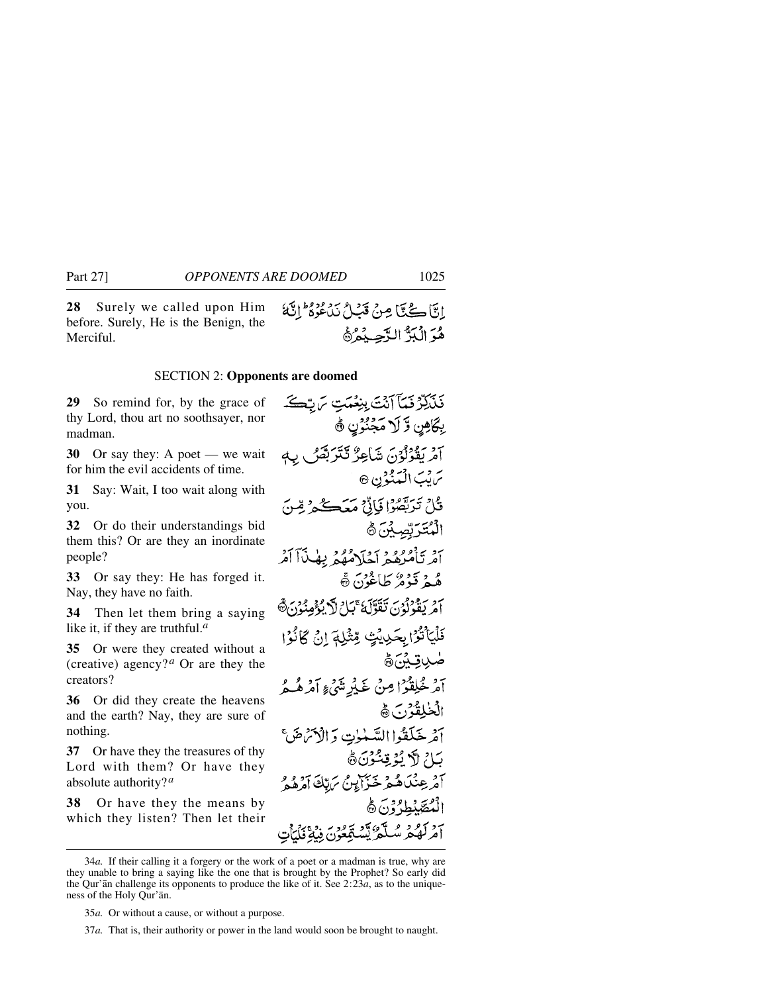**28** Surely we called upon Him before. Surely, He is the Benign, the Merciful.

## SECTION 2: **Opponents are doomed**

**29** So remind for, by the grace of thy Lord, thou art no soothsayer, nor madman.

**30** Or say they: A poet — we wait for him the evil accidents of time.

**31** Say: Wait, I too wait along with you.

**32** Or do their understandings bid them this? Or are they an inordinate people?

**33** Or say they: He has forged it. Nay, they have no faith.

**34** Then let them bring a saying like it, if they are truthful.*<sup>a</sup>*

**35** Or were they created without a (creative) agency?<sup>*a*</sup> Or are they the creators?

**36** Or did they create the heavens and the earth? Nay, they are sure of nothing.

**37** Or have they the treasures of thy Lord with them? Or have they absolute authority?*<sup>a</sup>*

**38** Or have they the means by which they listen? Then let their

فَلَكِرْفَعَآ آَنَتَ بِنِعْمَتِ سَ بِّكَ بِكَاهِنِ وَّ لَا مَجْنُوْنِ ۞ آمْرِيْقُوْلُوْنَ شَاعِرٌ تَتَتَرَبَّصُ بِ سَ يْبَ الْبَيْنُوْنِ ۞ قُلْ تَرَبَّقُبُوْا فَإِنَّىٰ مَعَڪُمْ وُّ الْمُتَرَبِّصِيْنَ ﴾ أَمْرِ تَأْمُرُهُمْ آخَلَاهُهُمْ بِهٰذَآ آَمُرُ هُمْ قَزْهُ طَاغُوْنَ ۞ امْرِيْغُوْلُوْنَ تَقَوَّلْهُ عَبَارُ لَكَ يُؤْمِنُوْنَ ﴾ فَلْيَأْتُوْا بِحَدِيْتٍ مِّثْبِلَهَ إِنْ كَانُوْا ۻۑۊؽؘؚؽٙۿ آمْرِ خْلِقْوْ إِمِنْ غَيْرِ مَّنِّي الْمَرْهُبِ أَ المخلقة دسته آمْرِ خَلَقُوا السَّمْوٰتِ وَالْأَتْرَضَّ بَاءُ لَا يُؤْتِيُّوْنَ۞ آمْرِ عِنْدَىٰ هُ مِرْ خَيْرًا بِنُ بِرَيِّكَ آمَرُهُ هُ الْمُقَدَّمْةُ؟، هُ لك<sup>ە</sup> تىشقغۇن

ابتًا ڪُتا مِنْ قَبْلُ نَاعُوهُ ۖ إِنَّهُا

هُدَ الْبَدَّ الدَّحِيدُهُ

<sup>34</sup>*a.* If their calling it a forgery or the work of a poet or a madman is true, why are they unable to bring a saying like the one that is brought by the Prophet? So early did the Qur'ån challenge its opponents to produce the like of it. See 2:23*a*, as to the uniqueness of the Holy Qur'ån.

<sup>35</sup>*a.* Or without a cause, or without a purpose.

<sup>37</sup>*a.* That is, their authority or power in the land would soon be brought to naught.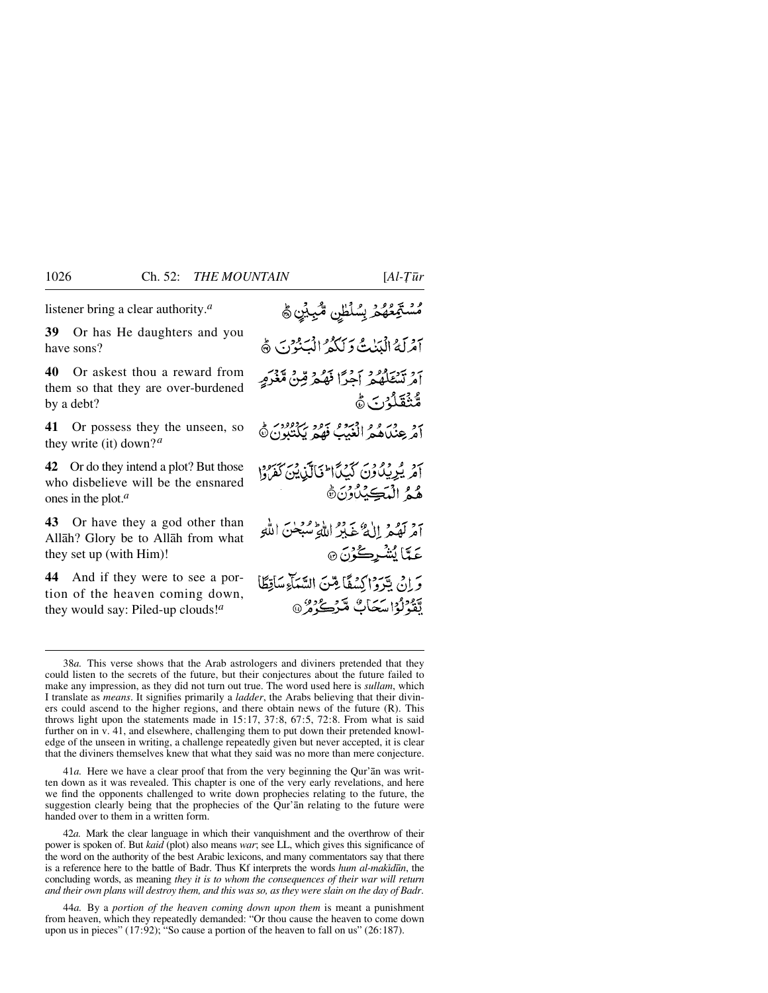listener bring a clear authority.*<sup>a</sup>*

**39** Or has He daughters and you have sons?

**40** Or askest thou a reward from them so that they are over-burdened by a debt?

**41** Or possess they the unseen, so they write (it) down?*<sup>a</sup>*

**42** Or do they intend a plot? But those who disbelieve will be the ensnared ones in the plot.*<sup>a</sup>*

**43** Or have they a god other than Allåh? Glory be to Allåh from what they set up (with Him)!

**44** And if they were to see a portion of the heaven coming down, they would say: Piled-up clouds!*<sup>a</sup>*

<sup>ەر</sup> تۆگۈڭ باشلىق ئىگىيىنى ھ

7د پريداون کېپيا اخپالې د سرسود.<br>آمريسيا ون کېپيا اخپالې ين کفروا هُمُ الْمَكِيْلُوْنَ۞ آمْرِ لَهُمْ إِلَيْهِ عَبْدُ اللَّهِ تُسْبَحْنَ اللَّهِ عَمَّا يُشْرِكُوْنَ ۞

وَ إِنْ لِتَهْوَاكِسُفًا مِتَنَ السَّيَاءِ سَاقِطًا لِّقَدْلُوْا سَكَابٌ مَّرْكُرُوْنَ

41*a.* Here we have a clear proof that from the very beginning the Qur'ån was written down as it was revealed. This chapter is one of the very early revelations, and here we find the opponents challenged to write down prophecies relating to the future, the suggestion clearly being that the prophecies of the Qur'ån relating to the future were handed over to them in a written form.

42*a.* Mark the clear language in which their vanquishment and the overthrow of their power is spoken of. But *kaid* (plot) also means *war*; see LL, which gives this significance of the word on the authority of the best Arabic lexicons, and many commentators say that there is a reference here to the battle of Badr. Thus Kf interprets the words *hum al-makidūn*, the concluding words, as meaning *they it is to whom the consequences of their war will return and their own plans will destroy them, and this was so, as they were slain on the day of Badr*.

44*a.* By a *portion of the heaven coming down upon them* is meant a punishment from heaven, which they repeatedly demanded: "Or thou cause the heaven to come down upon us in pieces" (17:92); "So cause a portion of the heaven to fall on us" (26:187).

آمْرِلَهُ الْبَيْنِتُ دَ لَكُمْ الْبَنْدُنَ ﴾ بروسرور دور بحرا قهم قِنْ مَّعْزَمٍ مُّنْقَلُوْنَ هُ 76 عندر و اقتصر عود بردود.<br>أمر عنداهم الغيب فهم بيكتبون@

<sup>38</sup>*a.* This verse shows that the Arab astrologers and diviners pretended that they could listen to the secrets of the future, but their conjectures about the future failed to make any impression, as they did not turn out true. The word used here is *sullam*, which I translate as *means*. It signifies primarily a *ladder*, the Arabs believing that their diviners could ascend to the higher regions, and there obtain news of the future (R). This throws light upon the statements made in 15:17, 37:8, 67:5, 72:8. From what is said further on in v. 41, and elsewhere, challenging them to put down their pretended knowledge of the unseen in writing, a challenge repeatedly given but never accepted, it is clear that the diviners themselves knew that what they said was no more than mere conjecture.